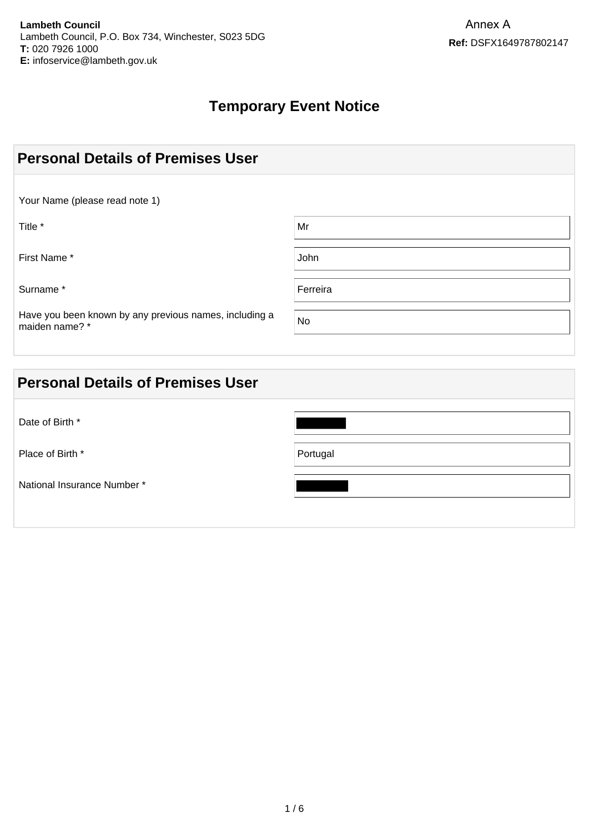# **Temporary Event Notice**

| <b>Personal Details of Premises User</b>                                 |          |  |
|--------------------------------------------------------------------------|----------|--|
| Your Name (please read note 1)                                           |          |  |
| Title *                                                                  | Mr       |  |
| First Name*                                                              | John     |  |
| Surname*                                                                 | Ferreira |  |
| Have you been known by any previous names, including a<br>maiden name? * | No       |  |

| <b>Personal Details of Premises User</b> |          |
|------------------------------------------|----------|
| Date of Birth *                          |          |
| Place of Birth *                         | Portugal |
| National Insurance Number *              |          |
|                                          |          |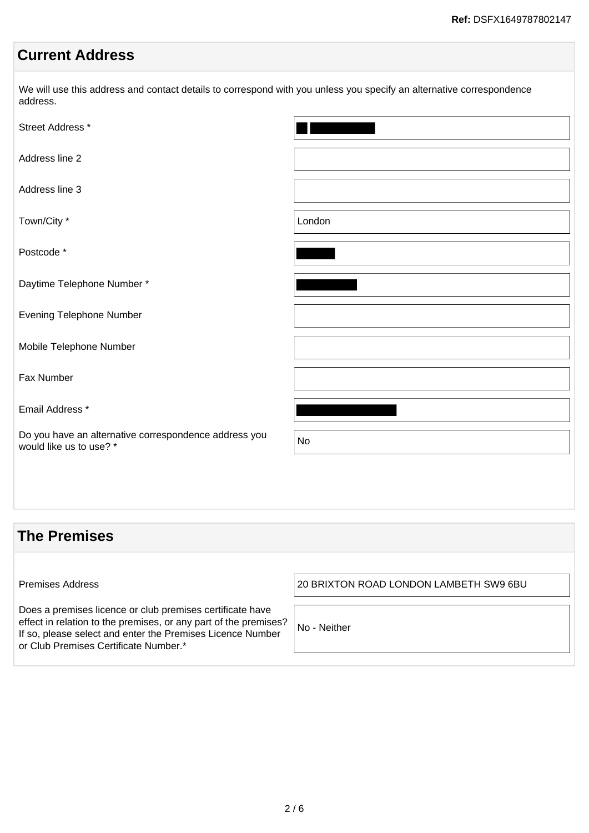# **Current Address**

We will use this address and contact details to correspond with you unless you specify an alternative correspondence address.

| Street Address *                                                                 |           |
|----------------------------------------------------------------------------------|-----------|
| Address line 2                                                                   |           |
| Address line 3                                                                   |           |
| Town/City *                                                                      | London    |
| Postcode *                                                                       |           |
| Daytime Telephone Number*                                                        |           |
| Evening Telephone Number                                                         |           |
| Mobile Telephone Number                                                          |           |
| Fax Number                                                                       |           |
| Email Address *                                                                  |           |
| Do you have an alternative correspondence address you<br>would like us to use? * | <b>No</b> |
|                                                                                  |           |

## **The Premises** Premises Address 20 BRIXTON ROAD LONDON LAMBETH SW9 6BU Does a premises licence or club premises certificate have effect in relation to the premises, or any part of the premises? If so, please select and enter the Premises Licence Number or Club Premises Certificate Number.\* No - Neither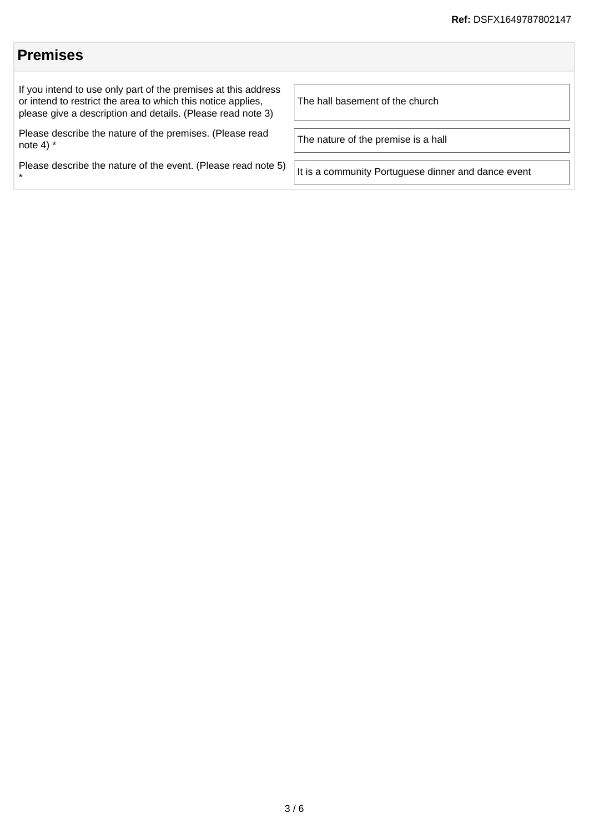#### **Premises** If you intend to use only part of the premises at this address or intend to restrict the area to which this notice applies, please give a description and details. (Please read note 3) The hall basement of the church Please describe the nature of the premises. (Please read Fiease describe the nature of the premises. (Fiease read<br>note 4)  $*$ Please describe the nature of the event. (Please read note 5) \* It is a community Portuguese dinner and dance event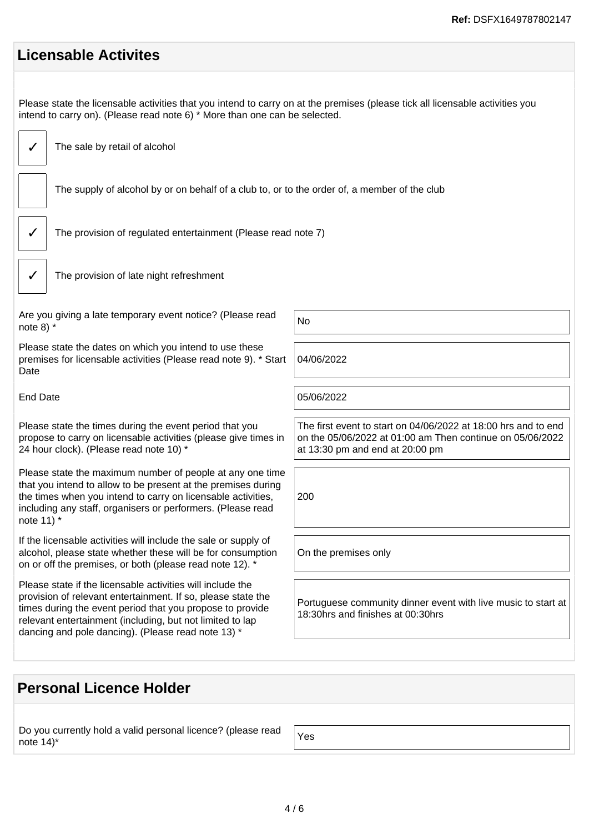| <b>Licensable Activites</b>                                                                                                                                                                                                                                                                                |                                                                                                                                                                |  |
|------------------------------------------------------------------------------------------------------------------------------------------------------------------------------------------------------------------------------------------------------------------------------------------------------------|----------------------------------------------------------------------------------------------------------------------------------------------------------------|--|
| Please state the licensable activities that you intend to carry on at the premises (please tick all licensable activities you<br>intend to carry on). (Please read note 6) * More than one can be selected.                                                                                                |                                                                                                                                                                |  |
| The sale by retail of alcohol                                                                                                                                                                                                                                                                              |                                                                                                                                                                |  |
| The supply of alcohol by or on behalf of a club to, or to the order of, a member of the club                                                                                                                                                                                                               |                                                                                                                                                                |  |
| The provision of regulated entertainment (Please read note 7)                                                                                                                                                                                                                                              |                                                                                                                                                                |  |
| The provision of late night refreshment                                                                                                                                                                                                                                                                    |                                                                                                                                                                |  |
| Are you giving a late temporary event notice? (Please read<br>note 8) $*$                                                                                                                                                                                                                                  | <b>No</b>                                                                                                                                                      |  |
| Please state the dates on which you intend to use these<br>premises for licensable activities (Please read note 9). * Start<br>Date                                                                                                                                                                        | 04/06/2022                                                                                                                                                     |  |
| <b>End Date</b>                                                                                                                                                                                                                                                                                            | 05/06/2022                                                                                                                                                     |  |
| Please state the times during the event period that you<br>propose to carry on licensable activities (please give times in<br>24 hour clock). (Please read note 10) *                                                                                                                                      | The first event to start on 04/06/2022 at 18:00 hrs and to end<br>on the 05/06/2022 at 01:00 am Then continue on 05/06/2022<br>at 13:30 pm and end at 20:00 pm |  |
| Please state the maximum number of people at any one time<br>that you intend to allow to be present at the premises during<br>the times when you intend to carry on licensable activities,<br>including any staff, organisers or performers. (Please read<br>note 11) *                                    | 200                                                                                                                                                            |  |
| If the licensable activities will include the sale or supply of<br>alcohol, please state whether these will be for consumption<br>on or off the premises, or both (please read note 12). *                                                                                                                 | On the premises only                                                                                                                                           |  |
| Please state if the licensable activities will include the<br>provision of relevant entertainment. If so, please state the<br>times during the event period that you propose to provide<br>relevant entertainment (including, but not limited to lap<br>dancing and pole dancing). (Please read note 13) * | Portuguese community dinner event with live music to start at<br>18:30hrs and finishes at 00:30hrs                                                             |  |
|                                                                                                                                                                                                                                                                                                            |                                                                                                                                                                |  |

# **Personal Licence Holder**

Do you currently hold a valid personal licence? (please read  $\bigg\vert$  Yes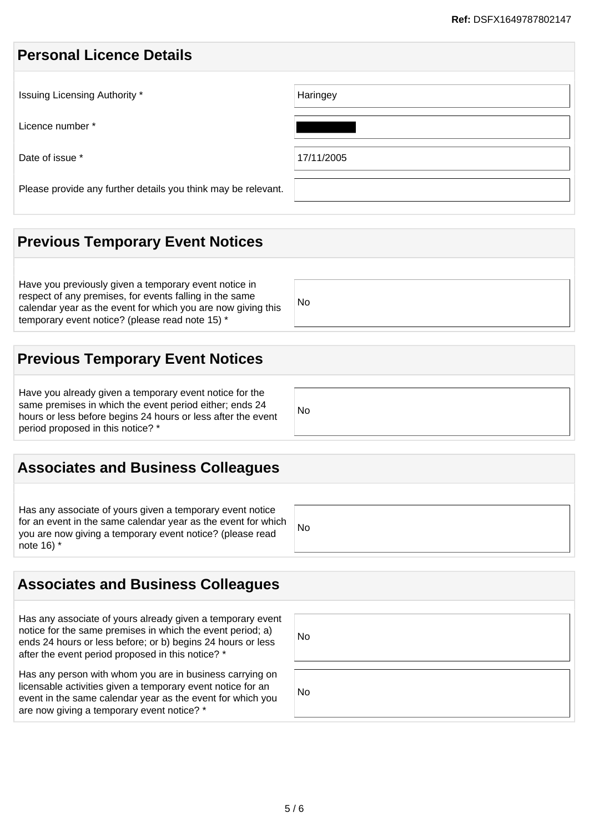#### **Personal Licence Details**

| Issuing Licensing Authority *                                 | Haringey   |
|---------------------------------------------------------------|------------|
| Licence number *                                              |            |
| Date of issue *                                               | 17/11/2005 |
| Please provide any further details you think may be relevant. |            |

## **Previous Temporary Event Notices**

Have you previously given a temporary event notice in respect of any premises, for events falling in the same calendar year as the event for which you are now giving this temporary event notice? (please read note 15) \*

#### No

No

No

**Previous Temporary Event Notices**

Have you already given a temporary event notice for the same premises in which the event period either; ends 24 hours or less before begins 24 hours or less after the event period proposed in this notice? \*

## **Associates and Business Colleagues**

Has any associate of yours given a temporary event notice for an event in the same calendar year as the event for which you are now giving a temporary event notice? (please read note 16) \*

## **Associates and Business Colleagues**

Has any associate of yours already given a temporary event notice for the same premises in which the event period; a) ends 24 hours or less before; or b) begins 24 hours or less after the event period proposed in this notice? \*

Has any person with whom you are in business carrying on licensable activities given a temporary event notice for an event in the same calendar year as the event for which you are now giving a temporary event notice? \*

| No |  |  |  |
|----|--|--|--|
| No |  |  |  |